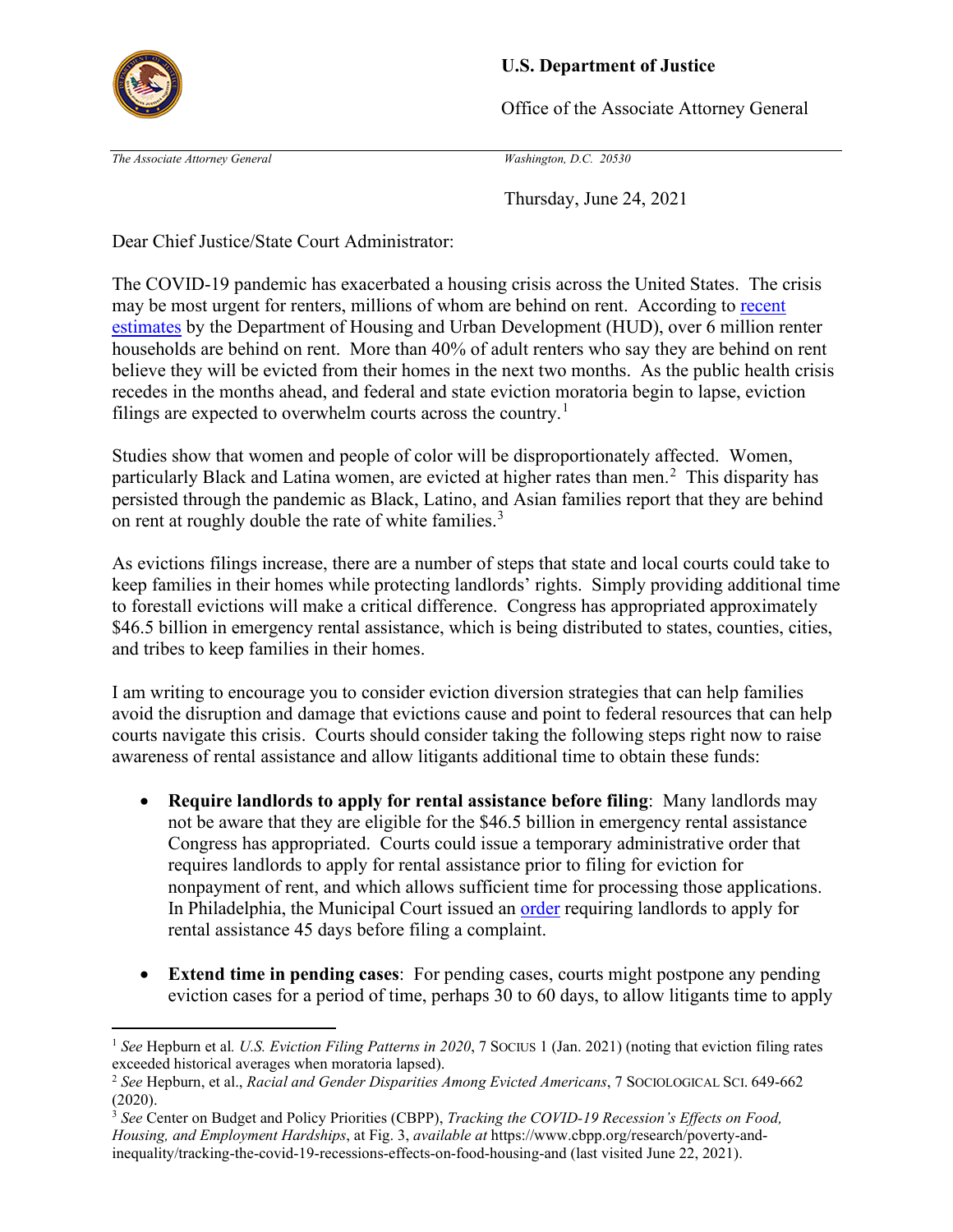

## **U.S. Department of Justice**

Office of the Associate Attorney General

*The Associate Attorney General Washington, D.C. 20530* 

Thursday, June 24, 2021

Dear Chief Justice/State Court Administrator:

 households are behind on rent. More than 40% of adult renters who say they are behind on rent The COVID-19 pandemic has exacerbated a housing crisis across the United States. The crisis may be most urgent for renters, millions of whom are behind on rent. According to recent [estimates](https://www.huduser.gov/portal/pdredge/pdr-edge-trending-042621.html) by the Department of Housing and Urban Development (HUD), over 6 million renter believe they will be evicted from their homes in the next two months. As the public health crisis recedes in the months ahead, and federal and state eviction moratoria begin to lapse, eviction filings are expected to overwhelm courts across the country.<sup>[1](#page-0-0)</sup>

particularly Black and Latina women, are evicted at higher rates than men.<sup>2</sup> This disparity has on rent at roughly double the rate of white families.<sup>3</sup> Studies show that women and people of color will be disproportionately affected. Women, persisted through the pandemic as Black, Latino, and Asian families report that they are behind

As evictions filings increase, there are a number of steps that state and local courts could take to keep families in their homes while protecting landlords' rights. Simply providing additional time to forestall evictions will make a critical difference. Congress has appropriated approximately \$46.5 billion in emergency rental assistance, which is being distributed to states, counties, cities, and tribes to keep families in their homes.

 awareness of rental assistance and allow litigants additional time to obtain these funds: I am writing to encourage you to consider eviction diversion strategies that can help families avoid the disruption and damage that evictions cause and point to federal resources that can help courts navigate this crisis. Courts should consider taking the following steps right now to raise

- rental assistance 45 days before filing a complaint. • **Require landlords to apply for rental assistance before filing**: Many landlords may not be aware that they are eligible for the \$46.5 billion in emergency rental assistance Congress has appropriated. Courts could issue a temporary administrative order that requires landlords to apply for rental assistance prior to filing for eviction for nonpayment of rent, and which allows sufficient time for processing those applications. In Philadelphia, the Municipal Court issued an [order](https://www.courts.phila.gov/pdf/regs/2021/15-of-2021-PJ-ORDER.pdf) requiring landlords to apply for
- **Extend time in pending cases**: For pending cases, courts might postpone any pending eviction cases for a period of time, perhaps 30 to 60 days, to allow litigants time to apply

<span id="page-0-0"></span> <sup>1</sup>*See* Hepburn et al*. U.S. Eviction Filing Patterns in 2020*, 7 SOCIUS 1 (Jan. 2021) (noting that eviction filing rates exceeded historical averages when moratoria lapsed).

<span id="page-0-1"></span> <sup>2</sup>*See* Hepburn, et al., *Racial and Gender Disparities Among Evicted Americans*, 7 SOCIOLOGICAL SCI. 649-662 (2020).

<span id="page-0-2"></span> <sup>3</sup>*See* Center on Budget and Policy Priorities (CBPP), *Tracking the COVID-19 Recession's Effects on Food, Housing, and Employment Hardships*, at Fig. 3, *available at* <https://www.cbpp.org/research/poverty-and>inequality/tracking-the-covid-19-recessions-effects-on-food-housing-and (last visited June 22, 2021).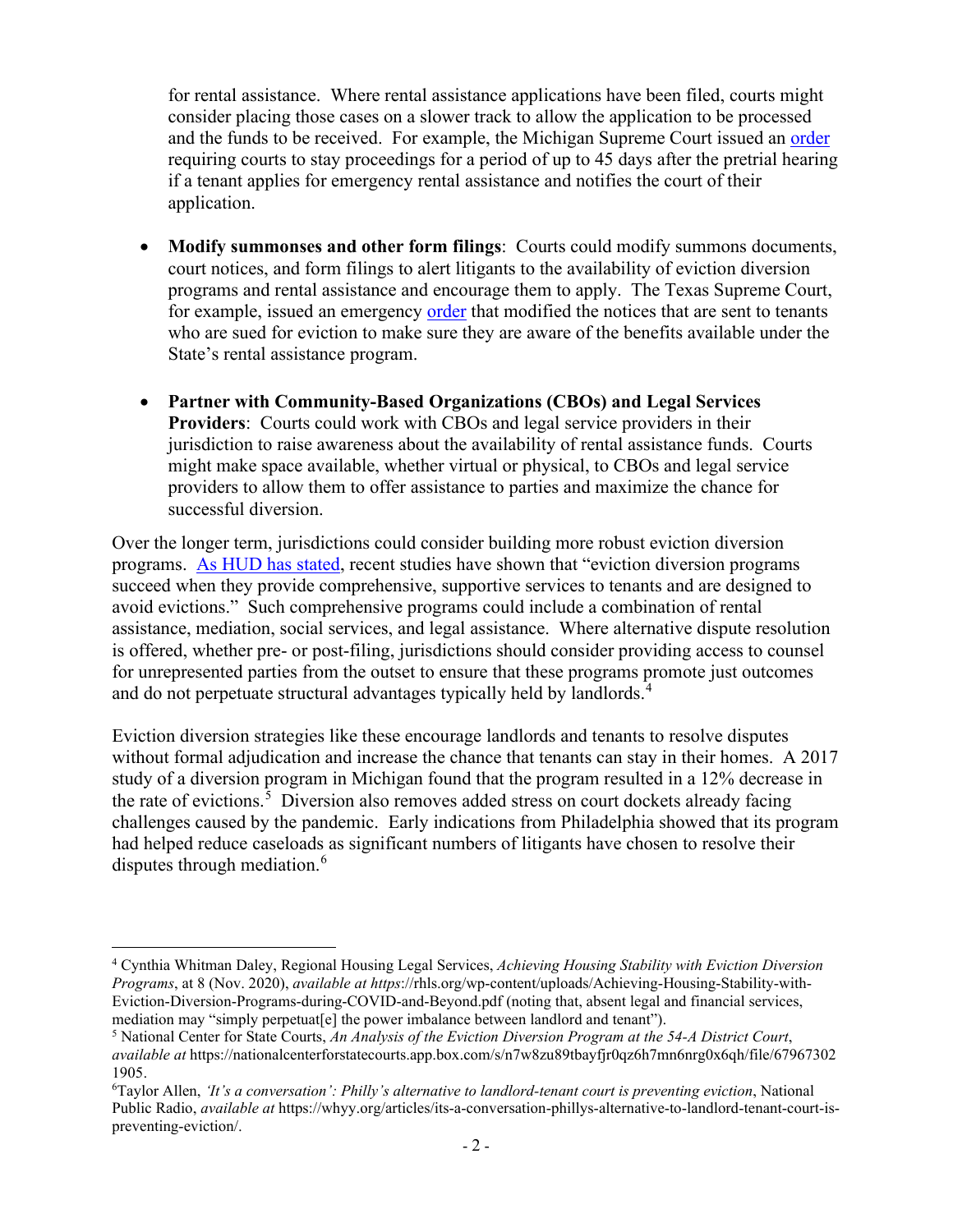for rental assistance. Where rental assistance applications have been filed, courts might consider placing those cases on a slower track to allow the application to be processed and the funds to be received. For example, the Michigan Supreme Court issued an order requiring courts to stay proceedings for a period of up to 45 days after the pretrial hearing if a tenant applies for emergency rental assistance and notifies the court of their application.

- court notices, and form filings to alert litigants to the availability of eviction diversion • **Modify summonses and other form filings**: Courts could modify summons documents, programs and rental assistance and encourage them to apply. The Texas Supreme Court, for example, issued an emergency [order](https://www.txcourts.gov/media/1452149/219050.pdf) that modified the notices that are sent to tenants who are sued for eviction to make sure they are aware of the benefits available under the State's rental assistance program.
- jurisdiction to raise awareness about the availability of rental assistance funds. Courts might make space available, whether virtual or physical, to CBOs and legal service providers to allow them to offer assistance to parties and maximize the chance for • **Partner with Community-Based Organizations (CBOs) and Legal Services Providers**: Courts could work with CBOs and legal service providers in their successful diversion.

 for unrepresented parties from the outset to ensure that these programs promote just outcomes Over the longer term, jurisdictions could consider building more robust eviction diversion programs. [As HUD has stated,](https://www.huduser.gov/portal/pdredge/pdr-edge-featd-article-062121.html) recent studies have shown that "eviction diversion programs succeed when they provide comprehensive, supportive services to tenants and are designed to avoid evictions." Such comprehensive programs could include a combination of rental assistance, mediation, social services, and legal assistance. Where alternative dispute resolution is offered, whether pre- or post-filing, jurisdictions should consider providing access to counsel and do not perpetuate structural advantages typically held by landlords.<sup>[4](#page-1-0)</sup>

the rate of evictions.<sup>5</sup> Diversion also removes added stress on court dockets already facing Eviction diversion strategies like these encourage landlords and tenants to resolve disputes without formal adjudication and increase the chance that tenants can stay in their homes. A 2017 study of a diversion program in Michigan found that the program resulted in a 12% decrease in challenges caused by the pandemic. Early indications from Philadelphia showed that its program had helped reduce caseloads as significant numbers of litigants have chosen to resolve their disputes through mediation.<sup>[6](#page-1-2)</sup>

<span id="page-1-0"></span> *Programs*, at 8 (Nov. 2020), *available at https*[://rhls.org/wp-content/uploads/Achieving-Housing-Stability-with](https://rhls.org/wp-content/uploads/Achieving-Housing-Stability-with)-4 Cynthia Whitman Daley, Regional Housing Legal Services, *Achieving Housing Stability with Eviction Diversion*  Eviction-Diversion-Programs-during-COVID-and-Beyond.pdf (noting that, absent legal and financial services, mediation may "simply perpetuat[e] the power imbalance between landlord and tenant"). 5 National Center for State Courts, *An Analysis of the Eviction Diversion Program at the 54-A District Court*,

<span id="page-1-1"></span>*available at* <https://nationalcenterforstatecourts.app.box.com/s/n7w8zu89tbayfjr0qz6h7mn6nrg0x6qh/file/67967302> 1905.

<span id="page-1-2"></span>Taylor Allen, *'It's a conversation': Philly's alternative to landlord-tenant court is preventing eviction*, National Public Radio, *available at* <https://whyy.org/articles/its-a-conversation-phillys-alternative-to-landlord-tenant-court-is>preventing-eviction/.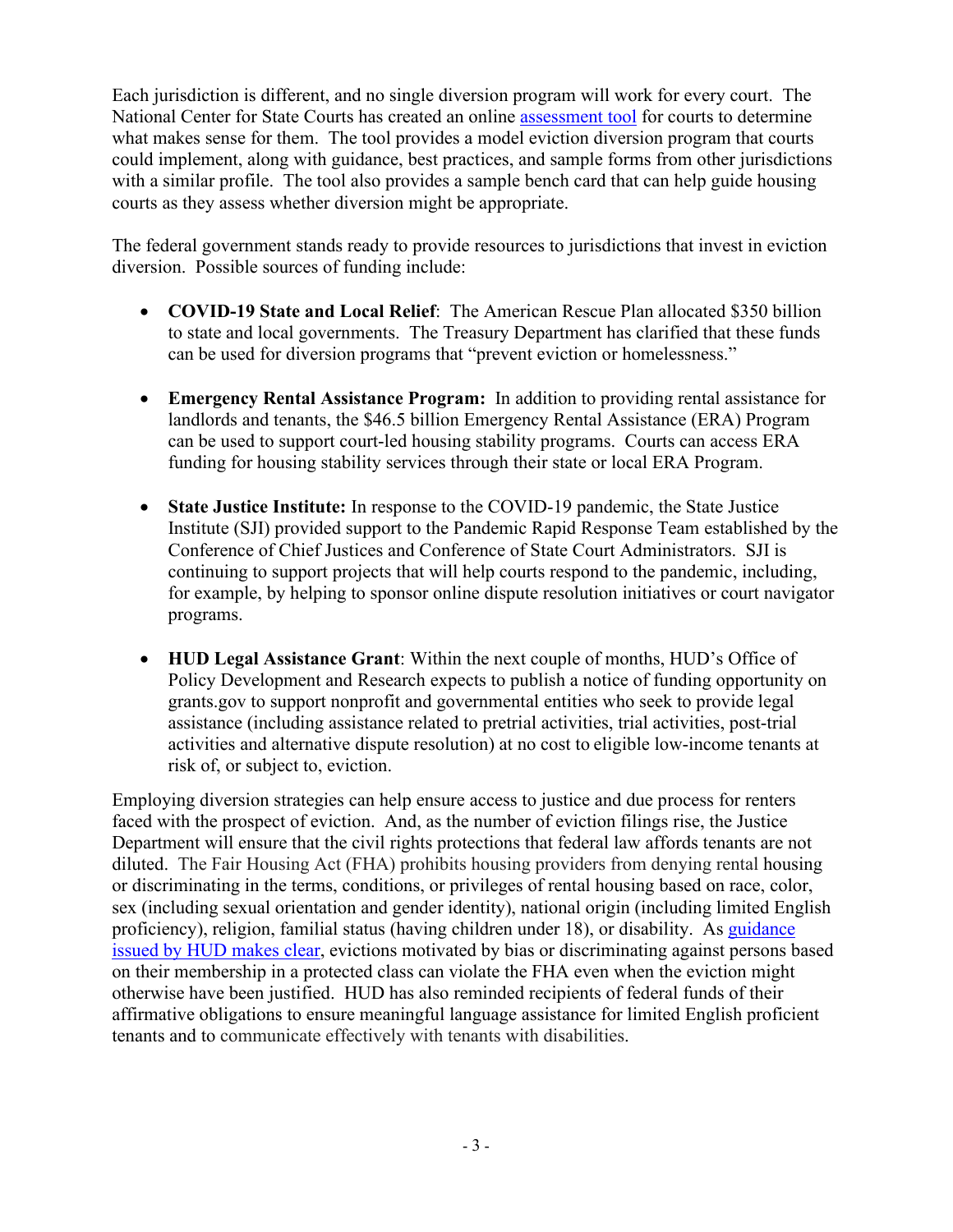with a similar profile. The tool also provides a sample bench card that can help guide housing Each jurisdiction is different, and no single diversion program will work for every court. The National Center for State Courts has created an online [assessment tool](https://www.ncsc.org/newsroom/public-health-emergency/implementation-lab/eviction-diversion-diagnostic-tool) for courts to determine what makes sense for them. The tool provides a model eviction diversion program that courts could implement, along with guidance, best practices, and sample forms from other jurisdictions courts as they assess whether diversion might be appropriate.

 The federal government stands ready to provide resources to jurisdictions that invest in eviction diversion. Possible sources of funding include:

- can be used for diversion programs that "prevent eviction or homelessness." • **COVID-19 State and Local Relief**: The American Rescue Plan allocated \$350 billion to state and local governments. The Treasury Department has clarified that these funds
- • **Emergency Rental Assistance Program:** In addition to providing rental assistance for funding for housing stability services through their state or local ERA Program. landlords and tenants, the \$46.5 billion Emergency Rental Assistance (ERA) Program can be used to support court-led housing stability programs. Courts can access ERA
- **State Justice Institute:** In response to the COVID-19 pandemic, the State Justice Institute (SJI) provided support to the Pandemic Rapid Response Team established by the Conference of Chief Justices and Conference of State Court Administrators. SJI is continuing to support projects that will help courts respond to the pandemic, including, for example, by helping to sponsor online dispute resolution initiatives or court navigator programs.
- **HUD Legal Assistance Grant**: Within the next couple of months, HUD's Office of Policy Development and Research expects to publish a notice of funding opportunity on [grants.gov](https://grants.gov) to support nonprofit and governmental entities who seek to provide legal assistance (including assistance related to pretrial activities, trial activities, post-trial activities and alternative dispute resolution) at no cost to eligible low-income tenants at risk of, or subject to, eviction.

 Employing diversion strategies can help ensure access to justice and due process for renters faced with the prospect of eviction. And, as the number of eviction filings rise, the Justice Department will ensure that the civil rights protections that federal law affords tenants are not proficiency), religion, familial status (having children under 18), or disability. As *guidance*  otherwise have been justified. HUD has also reminded recipients of federal funds of their diluted. The Fair Housing Act (FHA) prohibits housing providers from denying rental housing or discriminating in the terms, conditions, or privileges of rental housing based on race, color, sex (including sexual orientation and gender identity), national origin (including limited English [issued by HUD makes clear,](https://www.hud.gov/program_offices/fair_housing_equal_opp/Fair%20Housing%20and%20Evictions%20Main%20Page) evictions motivated by bias or discriminating against persons based on their membership in a protected class can violate the FHA even when the eviction might affirmative obligations to ensure meaningful language assistance for limited English proficient tenants and to communicate effectively with tenants with disabilities.